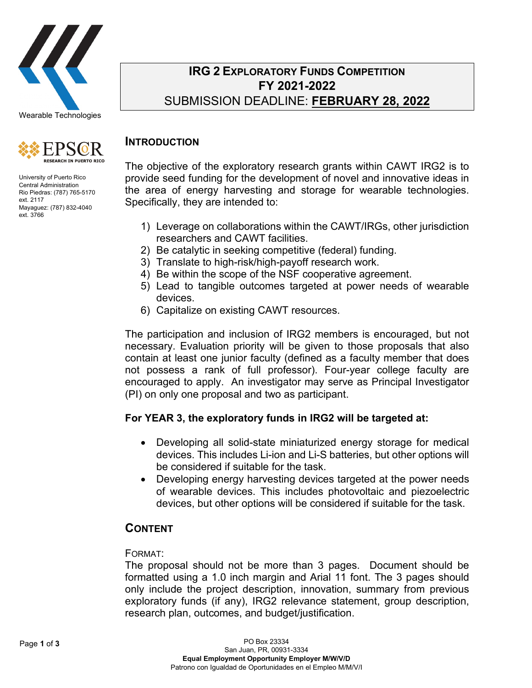



University of Puerto Rico Central Administration Rio Piedras: (787) 765-5170 ext. 2117 Mayaguez: (787) 832-4040 ext. 3766

# **IRG 2 EXPLORATORY FUNDS COMPETITION FY 2021-2022** SUBMISSION DEADLINE: **FEBRUARY 28, 2022**

# **INTRODUCTION**

The objective of the exploratory research grants within CAWT IRG2 is to provide seed funding for the development of novel and innovative ideas in the area of energy harvesting and storage for wearable technologies. Specifically, they are intended to:

- 1) Leverage on collaborations within the CAWT/IRGs, other jurisdiction researchers and CAWT facilities.
- 2) Be catalytic in seeking competitive (federal) funding.
- 3) Translate to high-risk/high-payoff research work.
- 4) Be within the scope of the NSF cooperative agreement.
- 5) Lead to tangible outcomes targeted at power needs of wearable devices.
- 6) Capitalize on existing CAWT resources.

The participation and inclusion of IRG2 members is encouraged, but not necessary. Evaluation priority will be given to those proposals that also contain at least one junior faculty (defined as a faculty member that does not possess a rank of full professor). Four-year college faculty are encouraged to apply. An investigator may serve as Principal Investigator (PI) on only one proposal and two as participant.

# **For YEAR 3, the exploratory funds in IRG2 will be targeted at:**

- Developing all solid-state miniaturized energy storage for medical devices. This includes Li-ion and Li-S batteries, but other options will be considered if suitable for the task.
- Developing energy harvesting devices targeted at the power needs of wearable devices. This includes photovoltaic and piezoelectric devices, but other options will be considered if suitable for the task.

# **CONTENT**

## FORMAT:

The proposal should not be more than 3 pages. Document should be formatted using a 1.0 inch margin and Arial 11 font. The 3 pages should only include the project description, innovation, summary from previous exploratory funds (if any), IRG2 relevance statement, group description, research plan, outcomes, and budget/justification.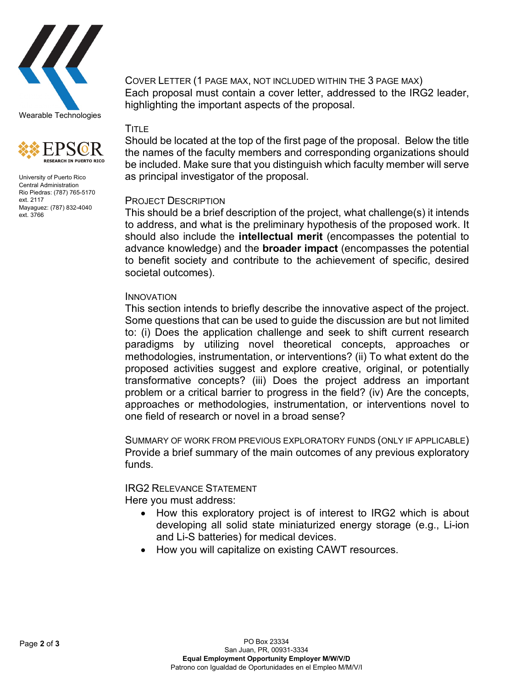



University of Puerto Rico Central Administration Rio Piedras: (787) 765-5170 ext. 2117 Mayaguez: (787) 832-4040 ext. 3766

COVER LETTER (1 PAGE MAX, NOT INCLUDED WITHIN THE 3 PAGE MAX) Each proposal must contain a cover letter, addressed to the IRG2 leader, highlighting the important aspects of the proposal.

# TITLE

Should be located at the top of the first page of the proposal. Below the title the names of the faculty members and corresponding organizations should be included. Make sure that you distinguish which faculty member will serve as principal investigator of the proposal.

## PROJECT DESCRIPTION

This should be a brief description of the project, what challenge(s) it intends to address, and what is the preliminary hypothesis of the proposed work. It should also include the **intellectual merit** (encompasses the potential to advance knowledge) and the **broader impact** (encompasses the potential to benefit society and contribute to the achievement of specific, desired societal outcomes).

#### INNOVATION

This section intends to briefly describe the innovative aspect of the project. Some questions that can be used to guide the discussion are but not limited to: (i) Does the application challenge and seek to shift current research paradigms by utilizing novel theoretical concepts, approaches or methodologies, instrumentation, or interventions? (ii) To what extent do the proposed activities suggest and explore creative, original, or potentially transformative concepts? (iii) Does the project address an important problem or a critical barrier to progress in the field? (iv) Are the concepts, approaches or methodologies, instrumentation, or interventions novel to one field of research or novel in a broad sense?

SUMMARY OF WORK FROM PREVIOUS EXPLORATORY FUNDS (ONLY IF APPLICABLE) Provide a brief summary of the main outcomes of any previous exploratory funds.

IRG2 RELEVANCE STATEMENT Here you must address:

- How this exploratory project is of interest to IRG2 which is about developing all solid state miniaturized energy storage (e.g., Li-ion and Li-S batteries) for medical devices.
- How you will capitalize on existing CAWT resources.